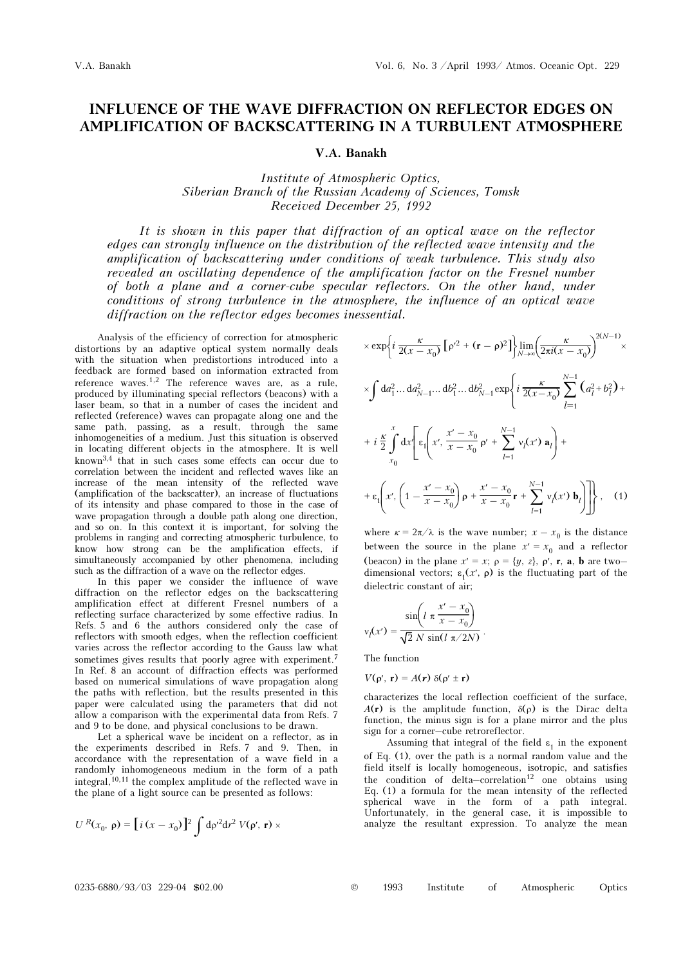## INFLUENCE OF THE WAVE DIFFRACTION ON REFLECTOR EDGES ON AMPLIFICATION OF BACKSCATTERING IN A TURBULENT ATMOSPHERE

## V.A. Banakh

Institute of Atmospheric Optics, Siberian Branch of the Russian Academy of Sciences, Tomsk Received December 25, 1992

It is shown in this paper that diffraction of an optical wave on the reflector edges can strongly influence on the distribution of the reflected wave intensity and the amplification of backscattering under conditions of weak turbulence. This study also revealed an oscillating dependence of the amplification factor on the Fresnel number of both a plane and a corner-cube specular reflectors. On the other hand, under conditions of strong turbulence in the atmosphere, the influence of an optical wave diffraction on the reflector edges becomes inessential.

Analysis of the efficiency of correction for atmospheric distortions by an adaptive optical system normally deals with the situation when predistortions introduced into a feedback are formed based on information extracted from reference waves.1,2 The reference waves are, as a rule, produced by illuminating special reflectors (beacons) with a laser beam, so that in a number of cases the incident and reflected (reference) waves can propagate along one and the same path, passing, as a result, through the same inhomogeneities of a medium. Just this situation is observed in locating different objects in the atmosphere. It is well known3,4 that in such cases some effects can occur due to correlation between the incident and reflected waves like an increase of the mean intensity of the reflected wave (amplification of the backscatter), an increase of fluctuations of its intensity and phase compared to those in the case of wave propagation through a double path along one direction, and so on. In this context it is important, for solving the problems in ranging and correcting atmospheric turbulence, to know how strong can be the amplification effects, if simultaneously accompanied by other phenomena, including such as the diffraction of a wave on the reflector edges.

In this paper we consider the influence of wave diffraction on the reflector edges on the backscattering amplification effect at different Fresnel numbers of a reflecting surface characterized by some effective radius. In Refs. 5 and 6 the authors considered only the case of reflectors with smooth edges, when the reflection coefficient varies across the reflector according to the Gauss law what sometimes gives results that poorly agree with experiment.<sup>7</sup> In Ref. 8 an account of diffraction effects was performed based on numerical simulations of wave propagation along the paths with reflection, but the results presented in this paper were calculated using the parameters that did not allow a comparison with the experimental data from Refs. 7 and 9 to be done, and physical conclusions to be drawn.

Let a spherical wave be incident on a reflector, as in the experiments described in Refs. 7 and 9. Then, in accordance with the representation of a wave field in a randomly inhomogeneous medium in the form of a path integral,10,11 the complex amplitude of the reflected wave in the plane of a light source can be presented as follows:

$$
U^{R}(x_{0}, \mathbf{p}) = [i(x - x_{0})]^{2} \int d\mathbf{p}'^{2} dr^{2} V(\mathbf{p}', \mathbf{r}) \times
$$

$$
\times \exp\left\{i\frac{\kappa}{2(x - x_0)}\left[\rho'^2 + (\mathbf{r} - \rho)^2\right]\right\}\lim_{N \to \infty} \left(\frac{\kappa}{2\pi i(x - x_0)}\right)^{2(N-1)} \times
$$
  
\n
$$
\times \int d a_1^2 \dots d a_{N-1}^2 \dots d b_1^2 \dots d b_{N-1}^2 \exp\left\{i\frac{\kappa}{2(x - x_0)} \sum_{l=1}^{N-1} \left(a_l^2 + b_l^2\right) + i\frac{\kappa}{2} \int_{x_0}^x d x' \left[\varepsilon_1\left(x', \frac{x' - x_0}{x - x_0} \rho' + \sum_{l=1}^{N-1} v_l(x') \mathbf{a}_l\right) + \right.\right.
$$
  
\n
$$
+ \varepsilon_1\left(x', \left(1 - \frac{x' - x_0}{x - x_0}\right) \rho + \frac{x' - x_0}{x - x_0} \mathbf{r} + \sum_{l=1}^{N-1} v_l(x') \mathbf{b}_l\right)\right], \quad (1)
$$

where  $\kappa = 2\pi/\lambda$  is the wave number;  $x - x_0$  is the distance between the source in the plane  $x' = x_0$  and a reflector (beacon) in the plane  $x' = x$ ;  $\rho = \{y, z\}$ ,  $\rho'$ , r, a, b are twodimensional vectors;  $\varepsilon_1(x', \rho)$  is the fluctuating part of the dielectric constant of air;

$$
v_l(x') = \frac{\sin\left(l \pi \frac{x' - x_0}{x - x_0}\right)}{\sqrt{2} N \sin\left(l \pi / 2N\right)}.
$$

The function

 $V(\rho', r) = A(r) \delta(\rho' \pm r)$ 

characterizes the local reflection coefficient of the surface,  $A(r)$  is the amplitude function,  $\delta(\rho)$  is the Dirac delta function, the minus sign is for a plane mirror and the plus sign for a corner–cube retroreflector.

Assuming that integral of the field  $\varepsilon_1$  in the exponent of Eq. (1), over the path is a normal random value and the field itself is locally homogeneous, isotropic, and satisfies the condition of delta–correlation<sup>12</sup> one obtains using Eq. (1) a formula for the mean intensity of the reflected spherical wave in the form of a path integral. Unfortunately, in the general case, it is impossible to analyze the resultant expression. To analyze the mean

|  |  | 1993 | Institute |  | Atmospheric | Optics |
|--|--|------|-----------|--|-------------|--------|
|--|--|------|-----------|--|-------------|--------|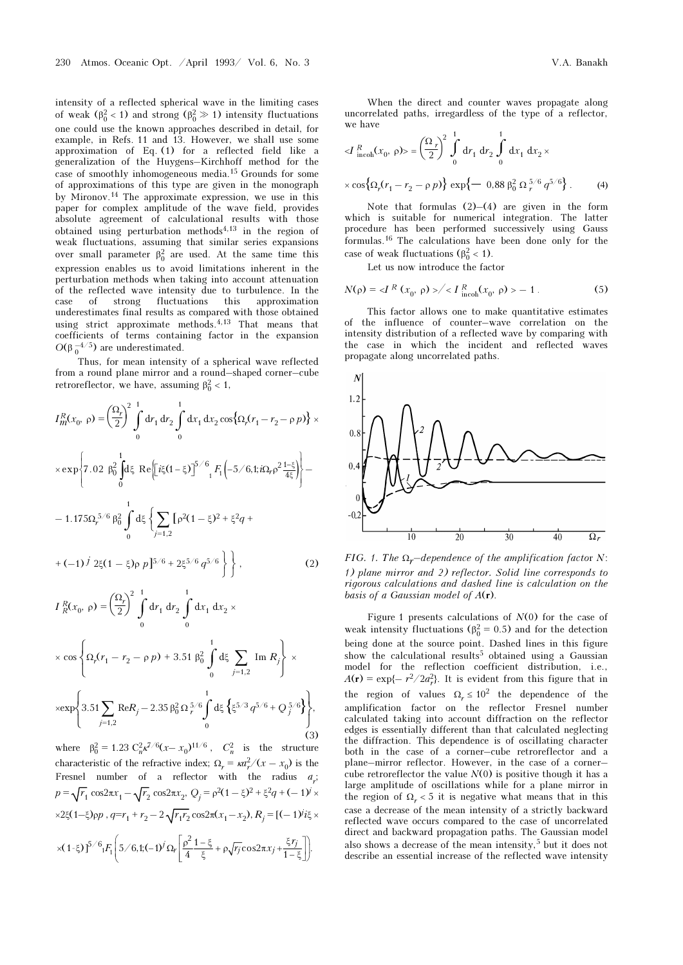intensity of a reflected spherical wave in the limiting cases of weak ( $\beta_0^2 < 1$ ) and strong ( $\beta_0^2 \gg 1$ ) intensity fluctuations one could use the known approaches described in detail, for example, in Refs. 11 and 13. However, we shall use some approximation of Eq. (1) for a reflected field like a generalization of the Huygens–Kirchhoff method for the case of smoothly inhomogeneous media.15 Grounds for some of approximations of this type are given in the monograph by Mironov.14 The approximate expression, we use in this paper for complex amplitude of the wave field, provides absolute agreement of calculational results with those obtained using perturbation methods<sup> $4,13$ </sup> in the region of weak fluctuations, assuming that similar series expansions over small parameter  $\beta_0^2$  are used. At the same time this expression enables us to avoid limitations inherent in the perturbation methods when taking into account attenuation of the reflected wave intensity due to turbulence. In the case of strong fluctuations this approximation underestimates final results as compared with those obtained using strict approximate methods.4,13 That means that coefficients of terms containing factor in the expansion  $O(β<sub>0</sub><sup>-4/5</sup>)$  are underestimated.

Thus, for mean intensity of a spherical wave reflected from a round plane mirror and a round–shaped corner–cube retroreflector, we have, assuming  $\beta_0^2 < 1$ ,

$$
I_{m}^{R}(x_{0}, \rho) = \left(\frac{\Omega_{r}}{2}\right)^{2} \int_{0}^{1} dr_{1} dr_{2} \int_{0}^{1} dx_{1} dx_{2} \cos\{\Omega_{r}(r_{1} - r_{2} - \rho p)\} \times
$$
  
\n
$$
\times \exp\left\{7.02 \beta_{0}^{2} \int_{0}^{1} d\xi \text{ Re}\left[i\xi(1-\xi)\right]^{5/6} {}_{1}F_{1}\left(-5/6,1;i\Omega_{r}\rho^{2}\frac{1-\xi}{4\xi}\right)\right\} -
$$
  
\n
$$
-1.175\Omega_{r}^{5/6} \beta_{0}^{2} \int_{0}^{1} d\xi \left\{\sum_{j=1,2} [\rho^{2}(1-\xi)^{2} + \xi^{2}q +
$$
  
\n
$$
+(-1)^{j} 2\xi(1-\xi)\rho p]^{5/6} + 2\xi^{5/6} q^{5/6}\right\} , \qquad (2)
$$

$$
I_R^R(x_0, \rho) = \left(\frac{\Omega_r}{2}\right)^2 \int_0^1 dr_1 dr_2 \int_0^1 dx_1 dx_2 \times
$$
  
 
$$
\times \cos \left\{\Omega_r(r_1 - r_2 - \rho \rho) + 3.51 \beta_0^2 \int_0^1 d\xi \sum_{j=1,2} \text{Im } R_j\right\} \times
$$
  
 
$$
\times \exp \left\{3.51 \sum_{j=1,2} \text{Re}R_j - 2.35 \beta_0^2 \Omega_r^{5/6} \int_0^1 d\xi \left\{\xi^{5/3} q^{5/6} + Q_j^{5/6} \right\}\right\},
$$

(3) where  $\beta_0^2 = 1.23 \ C_n^2 k^{7/6} (x - x_0)^{11/6}$ ,  $C_n^2$  is the structure characteristic of the refractive index;  $\Omega_r = \kappa a_r^2/(x - x_0)$  is the Fresnel number of a reflector with the radius  $a_r$ ;  $p = \sqrt{r_1} \cos 2\pi x_1 - \sqrt{r_2} \cos 2\pi x_2$ ,  $Q_i = \rho^2(1 - \xi)^2 + \xi^2 q + (-1)^j \times$  $x\geq 2\xi(1-\xi)$ ρ $p$ ,  $q=r_1+r_2-2\sqrt{r_1r_2}\cos 2\pi(x_1-x_2), R_j=[(-1)^j i\xi]$  $\times (1-\xi) \int_0^{\xi/6} i F_1 \left(5/6,1;(-1)^j \Omega_r \left[ \frac{\rho^2}{4} \frac{1-\xi}{\xi} + \rho \sqrt{r_j} \cos 2\pi x_j + \frac{\xi r_j}{1-\xi} \right] \right).$ 

When the direct and counter waves propagate along uncorrelated paths, irregardless of the type of a reflector, we have

$$
\langle I_{\text{incoh}}^R(x_0, \rho) \rangle = \left(\frac{\Omega_r}{2}\right)^2 \int_0^1 dr_1 dr_2 \int_0^1 dx_1 dx_2 \times
$$
  
 
$$
\times \cos\{\Omega_r(r_1 - r_2 - \rho p)\} \exp\{-0.88 \beta_0^2 \Omega_r^{5/6} q^{5/6}\}.
$$
 (4)

Note that formulas (2)–(4) are given in the form which is suitable for numerical integration. The latter procedure has been performed successively using Gauss formulas.16 The calculations have been done only for the case of weak fluctuations  $(\beta_0^2 < 1)$ .

Let us now introduce the factor

$$
N(\rho) = \langle I^R(x_0, \rho) \rangle / \langle I^R_{\text{incoh}}(x_0, \rho) \rangle - 1. \tag{5}
$$

This factor allows one to make quantitative estimates of the influence of counter–wave correlation on the intensity distribution of a reflected wave by comparing with the case in which the incident and reflected waves propagate along uncorrelated paths.



FIG. 1. The  $\Omega_r$ -dependence of the amplification factor N: 1) plane mirror and 2) reflector. Solid line corresponds to rigorous calculations and dashed line is calculation on the basis of a Gaussian model of  $A(r)$ .

Figure 1 presents calculations of  $N(0)$  for the case of weak intensity fluctuations ( $\beta_0^2 = 0.5$ ) and for the detection being done at the source point. Dashed lines in this figure show the calculational results<sup>5</sup> obtained using a Gaussian model for the reflection coefficient distribution, i.e.,  $A(\mathbf{r}) = \exp\{-r^2/2a_r^2\}$ . It is evident from this figure that in the region of values  $\Omega_r \leq 10^2$  the dependence of the amplification factor on the reflector Fresnel number calculated taking into account diffraction on the reflector edges is essentially different than that calculated neglecting the diffraction. This dependence is of oscillating character both in the case of a corner–cube retroreflector and a plane–mirror reflector. However, in the case of a corner– cube retroreflector the value  $N(0)$  is positive though it has a large amplitude of oscillations while for a plane mirror in the region of  $\Omega$ <sub>r</sub> < 5 it is negative what means that in this case a decrease of the mean intensity of a strictly backward reflected wave occurs compared to the case of uncorrelated direct and backward propagation paths. The Gaussian model also shows a decrease of the mean intensity,5 but it does not describe an essential increase of the reflected wave intensity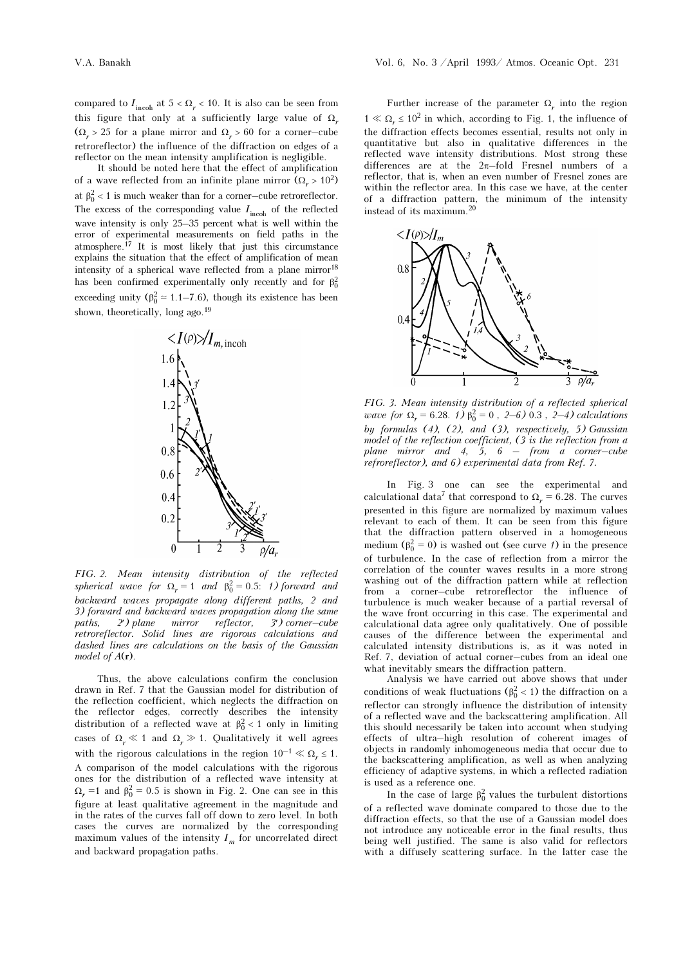compared to  $I_{\text{incoh}}$  at  $5<\Omega_r<10.$  It is also can be seen from this figure that only at a sufficiently large value of  $\Omega_r$  $(\Omega_r > 25$  for a plane mirror and  $\Omega_r > 60$  for a corner–cube retroreflector) the influence of the diffraction on edges of a reflector on the mean intensity amplification is negligible.

It should be noted here that the effect of amplification of a wave reflected from an infinite plane mirror  $(\Omega_r > 10^2)$ at  $\beta_0^2 < 1$  is much weaker than for a corner–cube retroreflector. The excess of the corresponding value  $I_{\text{incoh}}$  of the reflected wave intensity is only 25–35 percent what is well within the error of experimental measurements on field paths in the atmosphere.17 It is most likely that just this circumstance explains the situation that the effect of amplification of mean intensity of a spherical wave reflected from a plane mirror $^{18}$ has been confirmed experimentally only recently and for  $\beta_0^2$ exceeding unity ( $\beta_0^2 \approx 1.1$ –7.6), though its existence has been shown, theoretically, long ago.<sup>19</sup>



FIG. 2. Mean intensity distribution of the reflected spherical wave for  $\Omega_r = 1$  and  $\beta_0^2 = 0.5$ : 1) forward and backward waves propagate along different paths, 2 and 3) forward and backward waves propagation along the same paths, 2′) plane mirror reflector, 3′) corner–cube retroreflector. Solid lines are rigorous calculations and dashed lines are calculations on the basis of the Gaussian model of  $A(r)$ .

Thus, the above calculations confirm the conclusion drawn in Ref. 7 that the Gaussian model for distribution of the reflection coefficient, which neglects the diffraction on the reflector edges, correctly describes the intensity distribution of a reflected wave at  $\beta_0^2 < 1$  only in limiting cases of  $\Omega_r \ll 1$  and  $\Omega_r \gg 1$ . Qualitatively it well agrees with the rigorous calculations in the region  $10^{-1} \ll \Omega_r \le 1$ . A comparison of the model calculations with the rigorous ones for the distribution of a reflected wave intensity at  $\Omega_r = 1$  and  $\beta_0^2 = 0.5$  is shown in Fig. 2. One can see in this figure at least qualitative agreement in the magnitude and in the rates of the curves fall off down to zero level. In both cases the curves are normalized by the corresponding maximum values of the intensity  $I_m$  for uncorrelated direct and backward propagation paths.

Further increase of the parameter  $\Omega_r$  into the region  $1 \ll \Omega_r \leq 10^2$  in which, according to Fig. 1, the influence of the diffraction effects becomes essential, results not only in quantitative but also in qualitative differences in the reflected wave intensity distributions. Most strong these differences are at the 2π–fold Fresnel numbers of a reflector, that is, when an even number of Fresnel zones are within the reflector area. In this case we have, at the center of a diffraction pattern, the minimum of the intensity instead of its maximum.<sup>20</sup>



FIG. 3. Mean intensity distribution of a reflected spherical wave for  $\Omega_r = 6.28$ . (1)  $\beta_0^2 = 0$ , 2–6) 0.3, 2–4) calculations by formulas  $(4)$ ,  $(2)$ , and  $(3)$ , respectively, 5) Gaussian model of the reflection coefficient, (3 is the reflection from a plane mirror and 4, 5,  $6 - from$  a corner-cube refroreflector), and 6) experimental data from Ref. 7.

In Fig. 3 one can see the experimental and calculational data<sup>7</sup> that correspond to  $\Omega_r = 6.28$ . The curves presented in this figure are normalized by maximum values relevant to each of them. It can be seen from this figure that the diffraction pattern observed in a homogeneous medium ( $\beta_0^2 = 0$ ) is washed out (see curve 1) in the presence of turbulence. In the case of reflection from a mirror the correlation of the counter waves results in a more strong washing out of the diffraction pattern while at reflection from a corner–cube retroreflector the influence of turbulence is much weaker because of a partial reversal of the wave front occurring in this case. The experimental and calculational data agree only qualitatively. One of possible causes of the difference between the experimental and calculated intensity distributions is, as it was noted in Ref. 7, deviation of actual corner–cubes from an ideal one what inevitably smears the diffraction pattern.

Analysis we have carried out above shows that under conditions of weak fluctuations ( $\beta_0^2 < 1$ ) the diffraction on a reflector can strongly influence the distribution of intensity of a reflected wave and the backscattering amplification. All this should necessarily be taken into account when studying effects of ultra–high resolution of coherent images of objects in randomly inhomogeneous media that occur due to the backscattering amplification, as well as when analyzing efficiency of adaptive systems, in which a reflected radiation is used as a reference one.

In the case of large  $\beta_0^2$  values the turbulent distortions of a reflected wave dominate compared to those due to the diffraction effects, so that the use of a Gaussian model does not introduce any noticeable error in the final results, thus being well justified. The same is also valid for reflectors with a diffusely scattering surface. In the latter case the